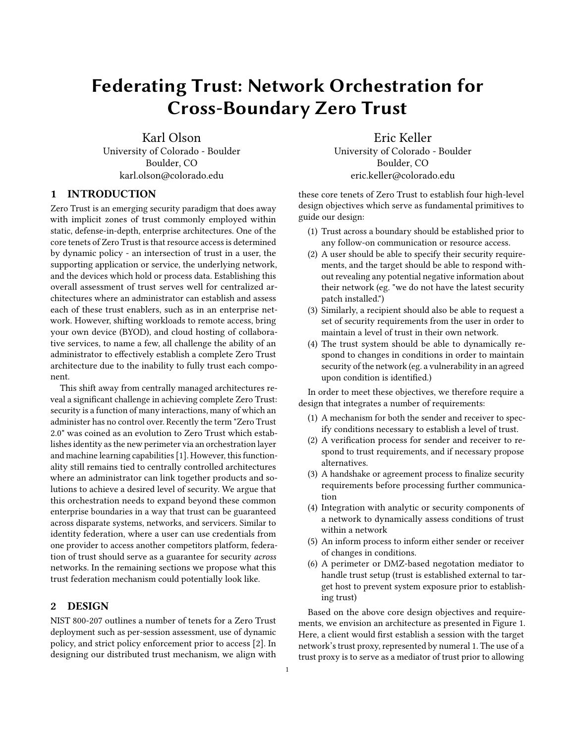# Federating Trust: Network Orchestration for Cross-Boundary Zero Trust

Karl Olson University of Colorado - Boulder Boulder, CO karl.olson@colorado.edu

### 1 INTRODUCTION

Zero Trust is an emerging security paradigm that does away with implicit zones of trust commonly employed within static, defense-in-depth, enterprise architectures. One of the core tenets of Zero Trust is that resource access is determined by dynamic policy - an intersection of trust in a user, the supporting application or service, the underlying network, and the devices which hold or process data. Establishing this overall assessment of trust serves well for centralized architectures where an administrator can establish and assess each of these trust enablers, such as in an enterprise network. However, shifting workloads to remote access, bring your own device (BYOD), and cloud hosting of collaborative services, to name a few, all challenge the ability of an administrator to effectively establish a complete Zero Trust architecture due to the inability to fully trust each component.

This shift away from centrally managed architectures reveal a significant challenge in achieving complete Zero Trust: security is a function of many interactions, many of which an administer has no control over. Recently the term "Zero Trust 2.0" was coined as an evolution to Zero Trust which establishes identity as the new perimeter via an orchestration layer and machine learning capabilities [\[1\]](#page-1-0). However, this functionality still remains tied to centrally controlled architectures where an administrator can link together products and solutions to achieve a desired level of security. We argue that this orchestration needs to expand beyond these common enterprise boundaries in a way that trust can be guaranteed across disparate systems, networks, and servicers. Similar to identity federation, where a user can use credentials from one provider to access another competitors platform, federation of trust should serve as a guarantee for security across networks. In the remaining sections we propose what this trust federation mechanism could potentially look like.

### 2 DESIGN

NIST 800-207 outlines a number of tenets for a Zero Trust deployment such as per-session assessment, use of dynamic policy, and strict policy enforcement prior to access [\[2\]](#page-1-1). In designing our distributed trust mechanism, we align with

Eric Keller University of Colorado - Boulder Boulder, CO eric.keller@colorado.edu

these core tenets of Zero Trust to establish four high-level design objectives which serve as fundamental primitives to guide our design:

- (1) Trust across a boundary should be established prior to any follow-on communication or resource access.
- (2) A user should be able to specify their security requirements, and the target should be able to respond without revealing any potential negative information about their network (eg. "we do not have the latest security patch installed.")
- (3) Similarly, a recipient should also be able to request a set of security requirements from the user in order to maintain a level of trust in their own network.
- (4) The trust system should be able to dynamically respond to changes in conditions in order to maintain security of the network (eg. a vulnerability in an agreed upon condition is identified.)

In order to meet these objectives, we therefore require a design that integrates a number of requirements:

- (1) A mechanism for both the sender and receiver to specify conditions necessary to establish a level of trust.
- (2) A verification process for sender and receiver to respond to trust requirements, and if necessary propose alternatives.
- (3) A handshake or agreement process to finalize security requirements before processing further communication
- (4) Integration with analytic or security components of a network to dynamically assess conditions of trust within a network
- (5) An inform process to inform either sender or receiver of changes in conditions.
- (6) A perimeter or DMZ-based negotation mediator to handle trust setup (trust is established external to target host to prevent system exposure prior to establishing trust)

Based on the above core design objectives and requirements, we envision an architecture as presented in Figure 1. Here, a client would first establish a session with the target network's trust proxy, represented by numeral 1. The use of a trust proxy is to serve as a mediator of trust prior to allowing